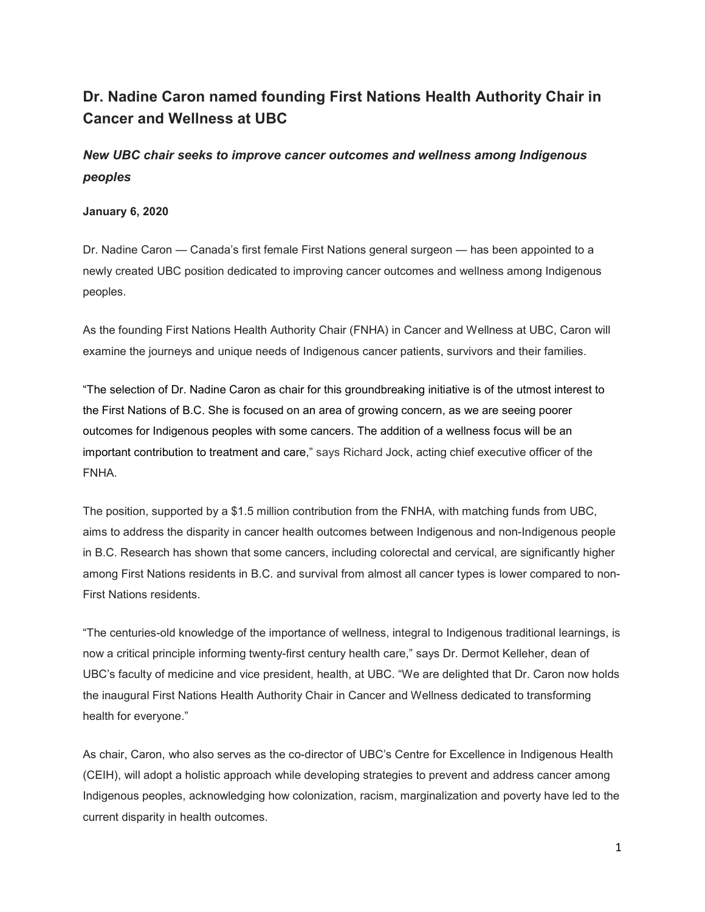## **Dr. Nadine Caron named founding First Nations Health Authority Chair in Cancer and Wellness at UBC**

*New UBC chair seeks to improve cancer outcomes and wellness among Indigenous peoples*

## **January 6, 2020**

Dr. Nadine Caron — Canada's first female First Nations general surgeon — has been appointed to a newly created UBC position dedicated to improving cancer outcomes and wellness among Indigenous peoples.

As the founding First Nations Health Authority Chair (FNHA) in Cancer and Wellness at UBC, Caron will examine the journeys and unique needs of Indigenous cancer patients, survivors and their families.

"The selection of Dr. Nadine Caron as chair for this groundbreaking initiative is of the utmost interest to the First Nations of B.C. She is focused on an area of growing concern, as we are seeing poorer outcomes for Indigenous peoples with some cancers. The addition of a wellness focus will be an important contribution to treatment and care," says Richard Jock, acting chief executive officer of the FNHA.

The position, supported by a \$1.5 million contribution from the FNHA, with matching funds from UBC, aims to address the disparity in cancer health outcomes between Indigenous and non-Indigenous people in B.C. Research has shown that some cancers, including colorectal and cervical, are significantly higher among First Nations residents in B.C. and survival from almost all cancer types is lower compared to non-First Nations residents.

"The centuries-old knowledge of the importance of wellness, integral to Indigenous traditional learnings, is now a critical principle informing twenty-first century health care," says Dr. Dermot Kelleher, dean of UBC's faculty of medicine and vice president, health, at UBC. "We are delighted that Dr. Caron now holds the inaugural First Nations Health Authority Chair in Cancer and Wellness dedicated to transforming health for everyone."

As chair, Caron, who also serves as the co-director of UBC's Centre for Excellence in Indigenous Health (CEIH), will adopt a holistic approach while developing strategies to prevent and address cancer among Indigenous peoples, acknowledging how colonization, racism, marginalization and poverty have led to the current disparity in health outcomes.